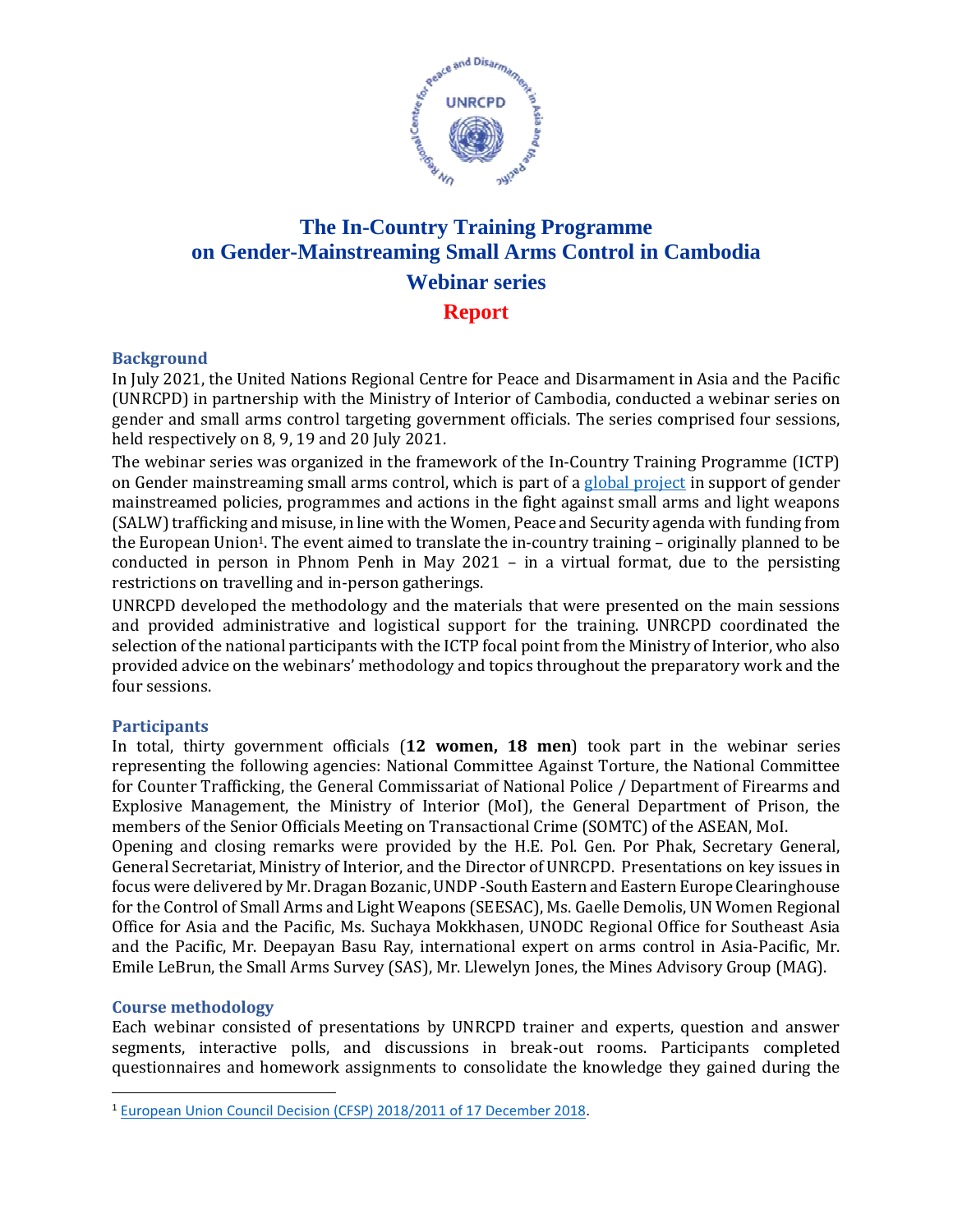

### **The In-Country Training Programme on Gender-Mainstreaming Small Arms Control in Cambodia Webinar series Report**

#### **Background**

In July 2021, the United Nations Regional Centre for Peace and Disarmament in Asia and the Pacific (UNRCPD) in partnership with the Ministry of Interior of Cambodia, conducted a webinar series on gender and small arms control targeting government officials. The series comprised four sessions, held respectively on 8, 9, 19 and 20 July 2021.

The webinar series was organized in the framework of the In-Country Training Programme (ICTP) on Gender mainstreaming small arms control, which is part of [a global project](https://www.un.org/disarmament/gender-and-small-arms-control/) in support of gender mainstreamed policies, programmes and actions in the fight against small arms and light weapons (SALW) trafficking and misuse, in line with the Women, Peace and Security agenda with funding from the European Union<sup>1</sup>. The event aimed to translate the in-country training – originally planned to be conducted in person in Phnom Penh in May 2021 – in a virtual format, due to the persisting restrictions on travelling and in-person gatherings.

UNRCPD developed the methodology and the materials that were presented on the main sessions and provided administrative and logistical support for the training. UNRCPD coordinated the selection of the national participants with the ICTP focal point from the Ministry of Interior, who also provided advice on the webinars' methodology and topics throughout the preparatory work and the four sessions.

#### **Participants**

In total, thirty government officials (**12 women, 18 men**) took part in the webinar series representing the following agencies: National Committee Against Torture, the National Committee for Counter Trafficking, the General Commissariat of National Police / Department of Firearms and Explosive Management, the Ministry of Interior (MoI), the General Department of Prison, the members of the Senior Officials Meeting on Transactional Crime (SOMTC) of the ASEAN, MoI.

Opening and closing remarks were provided by the H.E. Pol. Gen. Por Phak, Secretary General, General Secretariat, Ministry of Interior, and the Director of UNRCPD. Presentations on key issues in focus were delivered by Mr. Dragan Bozanic, UNDP -South Eastern and Eastern Europe Clearinghouse for the Control of Small Arms and Light Weapons (SEESAC), Ms. Gaelle Demolis, UN Women Regional Office for Asia and the Pacific, Ms. Suchaya Mokkhasen, UNODC Regional Office for Southeast Asia and the Pacific, Mr. Deepayan Basu Ray, international expert on arms control in Asia-Pacific, Mr. Emile LeBrun, the Small Arms Survey (SAS), Mr. Llewelyn Jones, the Mines Advisory Group (MAG).

#### **Course methodology**

Each webinar consisted of presentations by UNRCPD trainer and experts, question and answer segments, interactive polls, and discussions in break-out rooms. Participants completed questionnaires and homework assignments to consolidate the knowledge they gained during the

<sup>1</sup> [European Union Council Decision \(CFSP\) 2018/2011 of 17 December 2018.](https://eur-lex.europa.eu/legal-content/EN/TXT/PDF/?uri=CELEX:32018D2011)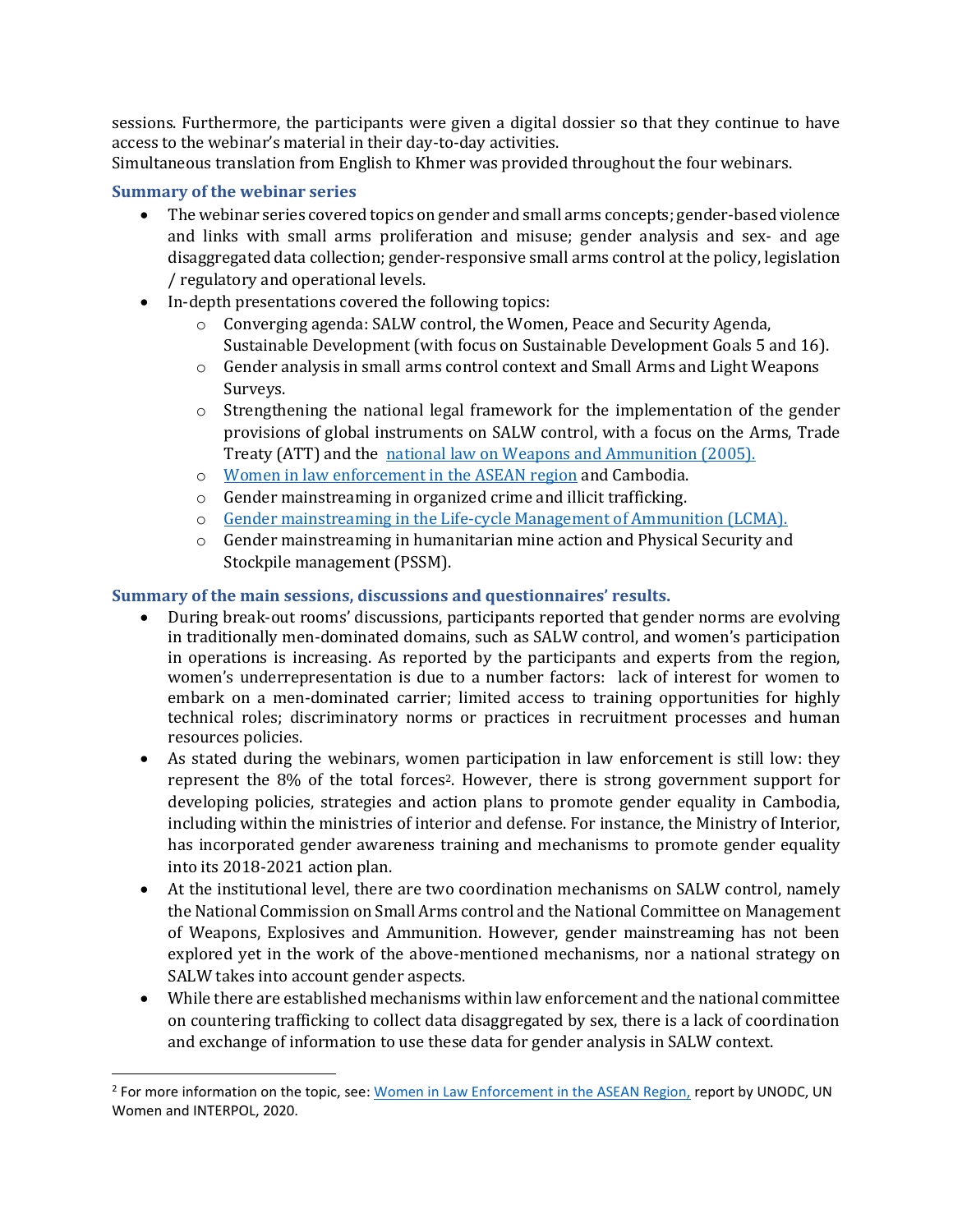sessions. Furthermore, the participants were given a digital dossier so that they continue to have access to the webinar's material in their day-to-day activities.

Simultaneous translation from English to Khmer was provided throughout the four webinars.

#### **Summary of the webinar series**

- The webinar series covered topics on gender and small arms concepts; gender-based violence and links with small arms proliferation and misuse; gender analysis and sex- and age disaggregated data collection; gender-responsive small arms control at the policy, legislation / regulatory and operational levels.
- In-depth presentations covered the following topics:
	- $\circ$  Converging agenda: SALW control, the Women, Peace and Security Agenda, Sustainable Development (with focus on Sustainable Development Goals 5 and 16).
	- o Gender analysis in small arms control context and Small Arms and Light Weapons Surveys.
	- $\circ$  Strengthening the national legal framework for the implementation of the gender provisions of global instruments on SALW control, with a focus on the Arms, Trade Treaty (ATT) and the [national law on Weapons and Ammunition \(2005\).](https://www.icj.org/wp-content/uploads/2013/04/Cambodia-Law-on-the-Management-of-Weapons-Explosives-and-Ammunition-2005-eng.pdf)
	- o [Women in law enforcement in the ASEAN](https://asiapacific.unwomen.org/en/digital-library/publications/2020/08/women-in-law-enforcement-in-the-asean-region) region and Cambodia.
	- o Gender mainstreaming in organized crime and illicit trafficking.
	- o [Gender mainstreaming in the Life-cycle Management of Ammunition \(LCMA\).](https://www.un.org/disarmament/gender-dimension-of-lcma/)
	- $\circ$  Gender mainstreaming in humanitarian mine action and Physical Security and Stockpile management (PSSM).

#### **Summary of the main sessions, discussions and questionnaires' results.**

- During break-out rooms' discussions, participants reported that gender norms are evolving in traditionally men-dominated domains, such as SALW control, and women's participation in operations is increasing. As reported by the participants and experts from the region, women's underrepresentation is due to a number factors: lack of interest for women to embark on a men-dominated carrier; limited access to training opportunities for highly technical roles; discriminatory norms or practices in recruitment processes and human resources policies.
- As stated during the webinars, women participation in law enforcement is still low: they represent the 8% of the total forces<sup>2</sup>. However, there is strong government support for developing policies, strategies and action plans to promote gender equality in Cambodia, including within the ministries of interior and defense. For instance, the Ministry of Interior, has incorporated gender awareness training and mechanisms to promote gender equality into its 2018-2021 action plan.
- At the institutional level, there are two coordination mechanisms on SALW control, namely the National Commission on Small Arms control and the National Committee on Management of Weapons, Explosives and Ammunition. However, gender mainstreaming has not been explored yet in the work of the above-mentioned mechanisms, nor a national strategy on SALW takes into account gender aspects.
- While there are established mechanisms within law enforcement and the national committee on countering trafficking to collect data disaggregated by sex, there is a lack of coordination and exchange of information to use these data for gender analysis in SALW context.

<sup>&</sup>lt;sup>2</sup> For more information on the topic, see: <u>Women in Law Enforcement in the ASEAN Region</u>, report by UNODC, UN Women and INTERPOL, 2020.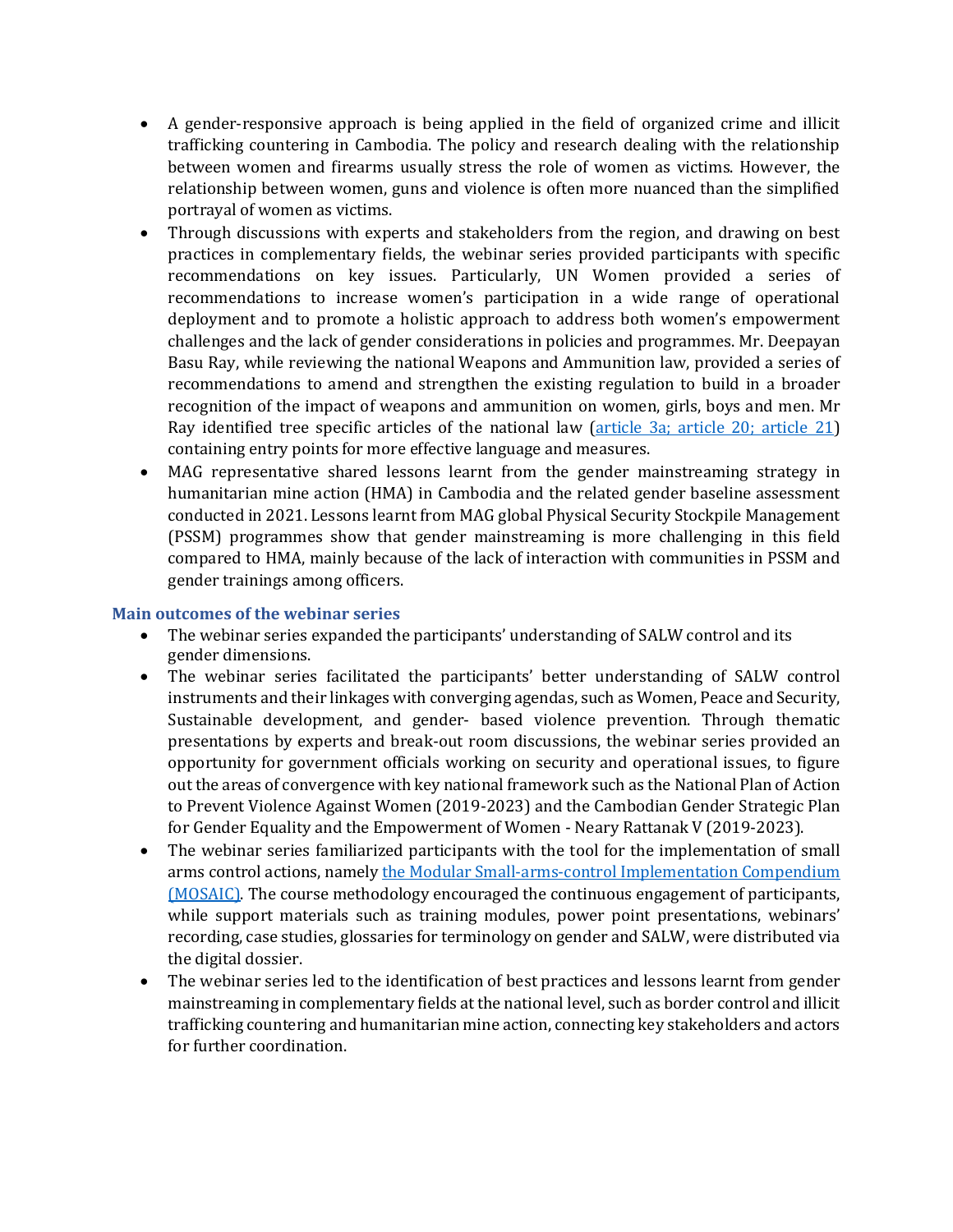- A gender-responsive approach is being applied in the field of organized crime and illicit trafficking countering in Cambodia. The policy and research dealing with the relationship between women and firearms usually stress the role of women as victims. However, the relationship between women, guns and violence is often more nuanced than the simplified portrayal of women as victims.
- Through discussions with experts and stakeholders from the region, and drawing on best practices in complementary fields, the webinar series provided participants with specific recommendations on key issues. Particularly, UN Women provided a series of recommendations to increase women's participation in a wide range of operational deployment and to promote a holistic approach to address both women's empowerment challenges and the lack of gender considerations in policies and programmes. Mr. Deepayan Basu Ray, while reviewing the national Weapons and Ammunition law, provided a series of recommendations to amend and strengthen the existing regulation to build in a broader recognition of the impact of weapons and ammunition on women, girls, boys and men. Mr Ray identified tree specific articles of the national law [\(article 3a; article 20; article 21\)](file:///C:/Users/Lenovo/Desktop/Programme/1.%20Regional%20Project%20-%20Gender%20and%20SALW/4-Execution/2-Countries/3-Cambodia/Webinar%20series/national%20law%20on%20Weapons%20and%20Ammunition%20(2005)) containing entry points for more effective language and measures.
- MAG representative shared lessons learnt from the gender mainstreaming strategy in humanitarian mine action (HMA) in Cambodia and the related gender baseline assessment conducted in 2021. Lessons learnt from MAG global Physical Security Stockpile Management (PSSM) programmes show that gender mainstreaming is more challenging in this field compared to HMA, mainly because of the lack of interaction with communities in PSSM and gender trainings among officers.

#### **Main outcomes of the webinar series**

- The webinar series expanded the participants' understanding of SALW control and its gender dimensions.
- The webinar series facilitated the participants' better understanding of SALW control instruments and their linkages with converging agendas, such as Women, Peace and Security, Sustainable development, and gender- based violence prevention. Through thematic presentations by experts and break-out room discussions, the webinar series provided an opportunity for government officials working on security and operational issues, to figure out the areas of convergence with key national framework such as the National Plan of Action to Prevent Violence Against Women (2019-2023) and the Cambodian Gender Strategic Plan for Gender Equality and the Empowerment of Women - Neary Rattanak V (2019-2023).
- The webinar series familiarized participants with the tool for the implementation of small arms control actions, namely [the Modular Small-arms-control Implementation Compendium](https://www.un.org/disarmament/convarms/mosaic/)  [\(MOSAIC\).](https://www.un.org/disarmament/convarms/mosaic/) The course methodology encouraged the continuous engagement of participants, while support materials such as training modules, power point presentations, webinars' recording, case studies, glossaries for terminology on gender and SALW, were distributed via the digital dossier.
- The webinar series led to the identification of best practices and lessons learnt from gender mainstreaming in complementary fields at the national level, such as border control and illicit trafficking countering and humanitarian mine action, connecting key stakeholders and actors for further coordination.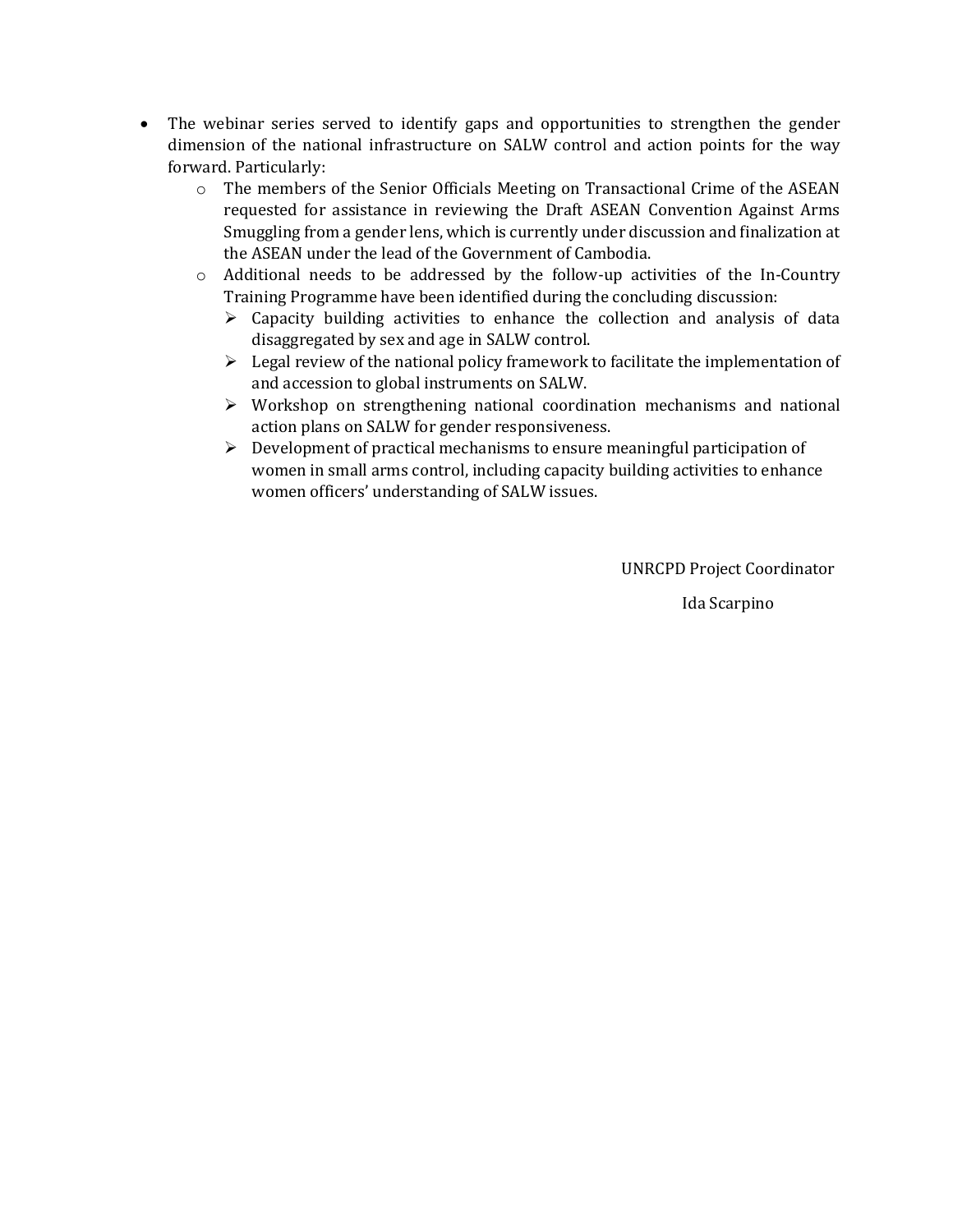- The webinar series served to identify gaps and opportunities to strengthen the gender dimension of the national infrastructure on SALW control and action points for the way forward. Particularly:
	- o The members of the Senior Officials Meeting on Transactional Crime of the ASEAN requested for assistance in reviewing the Draft ASEAN Convention Against Arms Smuggling from a gender lens, which is currently under discussion and finalization at the ASEAN under the lead of the Government of Cambodia.
	- $\circ$  Additional needs to be addressed by the follow-up activities of the In-Country Training Programme have been identified during the concluding discussion:
		- $\triangleright$  Capacity building activities to enhance the collection and analysis of data disaggregated by sex and age in SALW control.
		- $\triangleright$  Legal review of the national policy framework to facilitate the implementation of and accession to global instruments on SALW.
		- $\triangleright$  Workshop on strengthening national coordination mechanisms and national action plans on SALW for gender responsiveness.
		- $\triangleright$  Development of practical mechanisms to ensure meaningful participation of women in small arms control, including capacity building activities to enhance women officers' understanding of SALW issues.

UNRCPD Project Coordinator

Ida Scarpino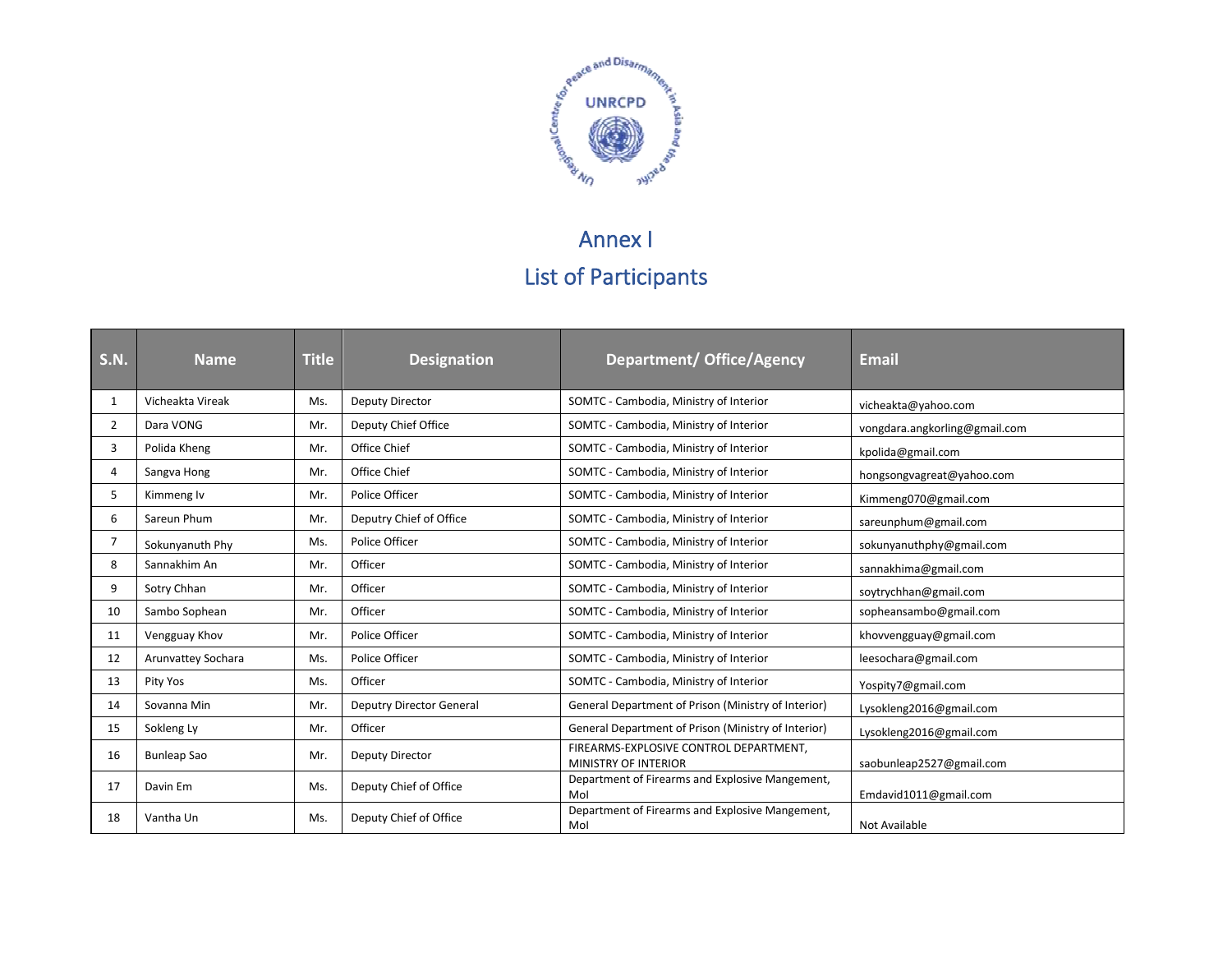

# Annex I List of Participants

| <b>S.N.</b>    | <b>Name</b>        | <b>Title</b> | <b>Designation</b>              | <b>Department/ Office/Agency</b>                               | <b>Email</b>                  |
|----------------|--------------------|--------------|---------------------------------|----------------------------------------------------------------|-------------------------------|
| $\mathbf{1}$   | Vicheakta Vireak   | Ms.          | <b>Deputy Director</b>          | SOMTC - Cambodia, Ministry of Interior                         | vicheakta@yahoo.com           |
| $\overline{2}$ | Dara VONG          | Mr.          | Deputy Chief Office             | SOMTC - Cambodia, Ministry of Interior                         | vongdara.angkorling@gmail.com |
| 3              | Polida Kheng       | Mr.          | Office Chief                    | SOMTC - Cambodia, Ministry of Interior                         | kpolida@gmail.com             |
| 4              | Sangva Hong        | Mr.          | Office Chief                    | SOMTC - Cambodia, Ministry of Interior                         | hongsongvagreat@yahoo.com     |
| 5              | Kimmeng Iv         | Mr.          | Police Officer                  | SOMTC - Cambodia, Ministry of Interior                         | Kimmeng070@gmail.com          |
| 6              | Sareun Phum        | Mr.          | Deputry Chief of Office         | SOMTC - Cambodia, Ministry of Interior                         | sareunphum@gmail.com          |
| $\overline{7}$ | Sokunyanuth Phy    | Ms.          | Police Officer                  | SOMTC - Cambodia, Ministry of Interior                         | sokunyanuthphy@gmail.com      |
| 8              | Sannakhim An       | Mr.          | Officer                         | SOMTC - Cambodia, Ministry of Interior                         | sannakhima@gmail.com          |
| 9              | Sotry Chhan        | Mr.          | Officer                         | SOMTC - Cambodia, Ministry of Interior                         | soytrychhan@gmail.com         |
| 10             | Sambo Sophean      | Mr.          | Officer                         | SOMTC - Cambodia, Ministry of Interior                         | sopheansambo@gmail.com        |
| 11             | Vengguay Khov      | Mr.          | Police Officer                  | SOMTC - Cambodia, Ministry of Interior                         | khovvengguay@gmail.com        |
| 12             | Arunvattey Sochara | Ms.          | Police Officer                  | SOMTC - Cambodia, Ministry of Interior                         | leesochara@gmail.com          |
| 13             | Pity Yos           | Ms.          | Officer                         | SOMTC - Cambodia, Ministry of Interior                         | Yospity7@gmail.com            |
| 14             | Sovanna Min        | Mr.          | <b>Deputry Director General</b> | General Department of Prison (Ministry of Interior)            | Lysokleng2016@gmail.com       |
| 15             | Sokleng Ly         | Mr.          | Officer                         | General Department of Prison (Ministry of Interior)            | Lysokleng2016@gmail.com       |
| 16             | <b>Bunleap Sao</b> | Mr.          | <b>Deputy Director</b>          | FIREARMS-EXPLOSIVE CONTROL DEPARTMENT,<br>MINISTRY OF INTERIOR | saobunleap2527@gmail.com      |
| 17             | Davin Em           | Ms.          | Deputy Chief of Office          | Department of Firearms and Explosive Mangement,<br>Mol         | Emdavid1011@gmail.com         |
| 18             | Vantha Un          | Ms.          | Deputy Chief of Office          | Department of Firearms and Explosive Mangement,<br>Mol         | Not Available                 |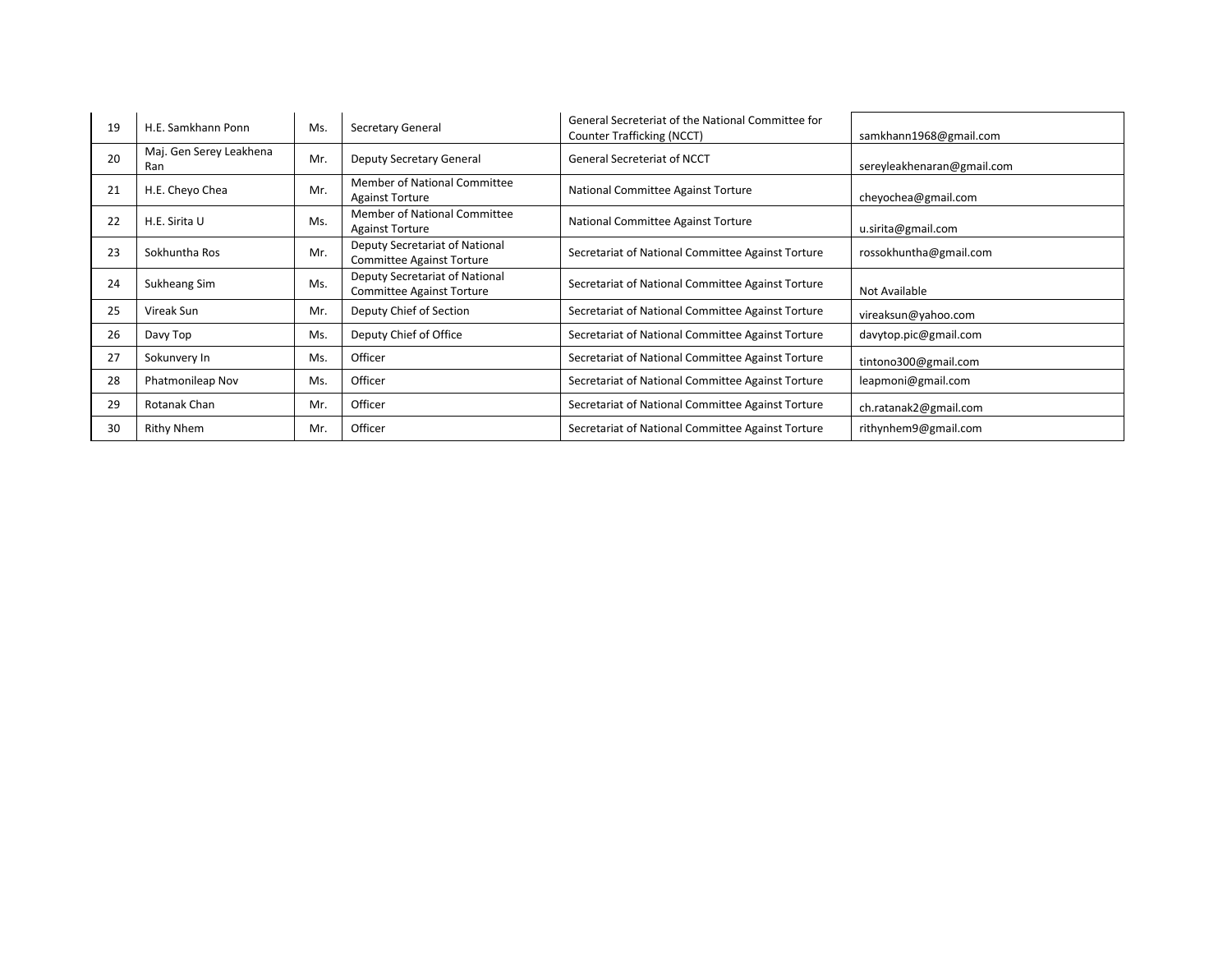| 19 | H.E. Samkhann Ponn             | Ms. | Secretary General                                                  | General Secreteriat of the National Committee for<br><b>Counter Trafficking (NCCT)</b> | samkhann1968@gmail.com     |
|----|--------------------------------|-----|--------------------------------------------------------------------|----------------------------------------------------------------------------------------|----------------------------|
| 20 | Maj. Gen Serey Leakhena<br>Ran | Mr. | <b>Deputy Secretary General</b>                                    | <b>General Secreteriat of NCCT</b>                                                     | sereyleakhenaran@gmail.com |
| 21 | H.E. Cheyo Chea                | Mr. | Member of National Committee<br><b>Against Torture</b>             | National Committee Against Torture                                                     | cheyochea@gmail.com        |
| 22 | H.E. Sirita U                  | Ms. | <b>Member of National Committee</b><br><b>Against Torture</b>      | National Committee Against Torture                                                     | u.sirita@gmail.com         |
| 23 | Sokhuntha Ros                  | Mr. | Deputy Secretariat of National<br><b>Committee Against Torture</b> | Secretariat of National Committee Against Torture                                      | rossokhuntha@gmail.com     |
| 24 | Sukheang Sim                   | Ms. | Deputy Secretariat of National<br><b>Committee Against Torture</b> | Secretariat of National Committee Against Torture                                      | Not Available              |
| 25 | Vireak Sun                     | Mr. | Deputy Chief of Section                                            | Secretariat of National Committee Against Torture                                      | vireaksun@yahoo.com        |
| 26 | Davy Top                       | Ms. | Deputy Chief of Office                                             | Secretariat of National Committee Against Torture                                      | davytop.pic@gmail.com      |
| 27 | Sokunvery In                   | Ms. | Officer                                                            | Secretariat of National Committee Against Torture                                      | tintono300@gmail.com       |
| 28 | Phatmonileap Nov               | Ms. | Officer                                                            | Secretariat of National Committee Against Torture                                      | leapmoni@gmail.com         |
| 29 | Rotanak Chan                   | Mr. | Officer                                                            | Secretariat of National Committee Against Torture                                      | ch.ratanak2@gmail.com      |
| 30 | Rithy Nhem                     | Mr. | Officer                                                            | Secretariat of National Committee Against Torture                                      | rithynhem9@gmail.com       |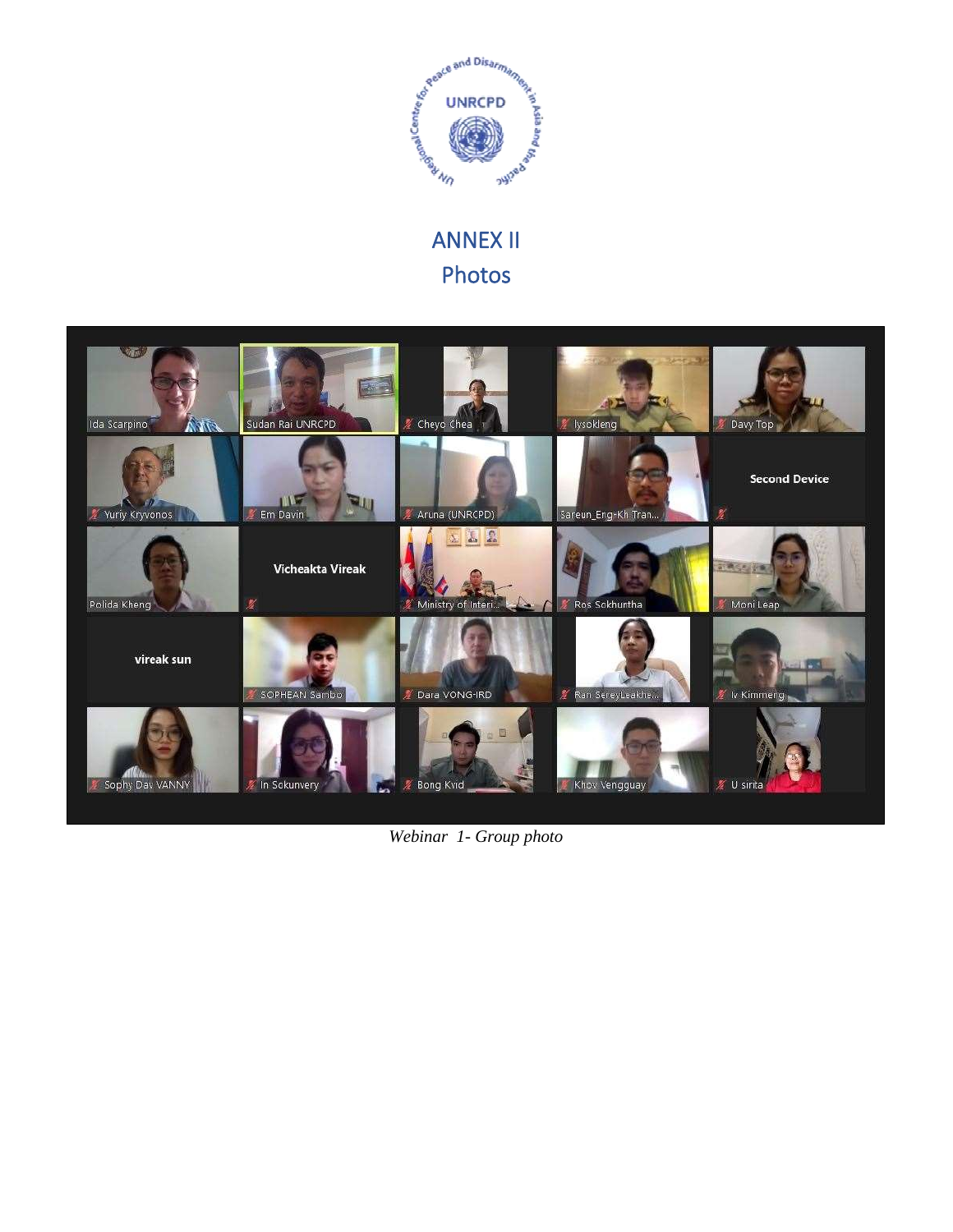

## ANNEX II Photos



*Webinar 1- Group photo*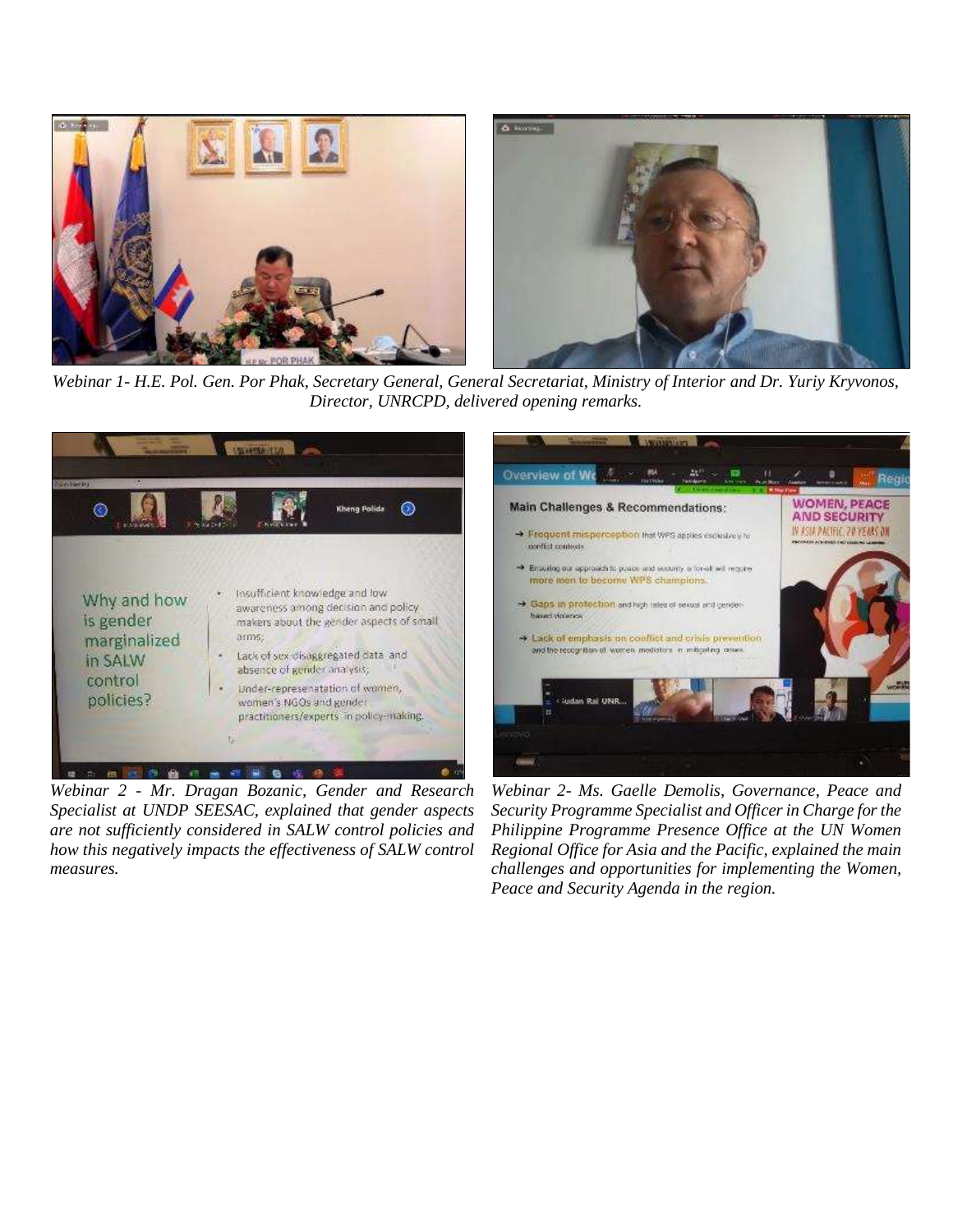

*Webinar 1- H.E. Pol. Gen. Por Phak, Secretary General, General Secretariat, Ministry of Interior and Dr. Yuriy Kryvonos, Director, UNRCPD, delivered opening remarks.*



*Webinar 2 - Mr. Dragan Bozanic, Gender and Research Specialist at UNDP SEESAC, explained that gender aspects are not sufficiently considered in SALW control policies and how this negatively impacts the effectiveness of SALW control measures.* 

*Webinar 2- Ms. Gaelle Demolis, Governance, Peace and Security Programme Specialist and Officer in Charge for the Philippine Programme Presence Office at the UN Women Regional Office for Asia and the Pacific, explained the main challenges and opportunities for implementing the Women, Peace and Security Agenda in the region.*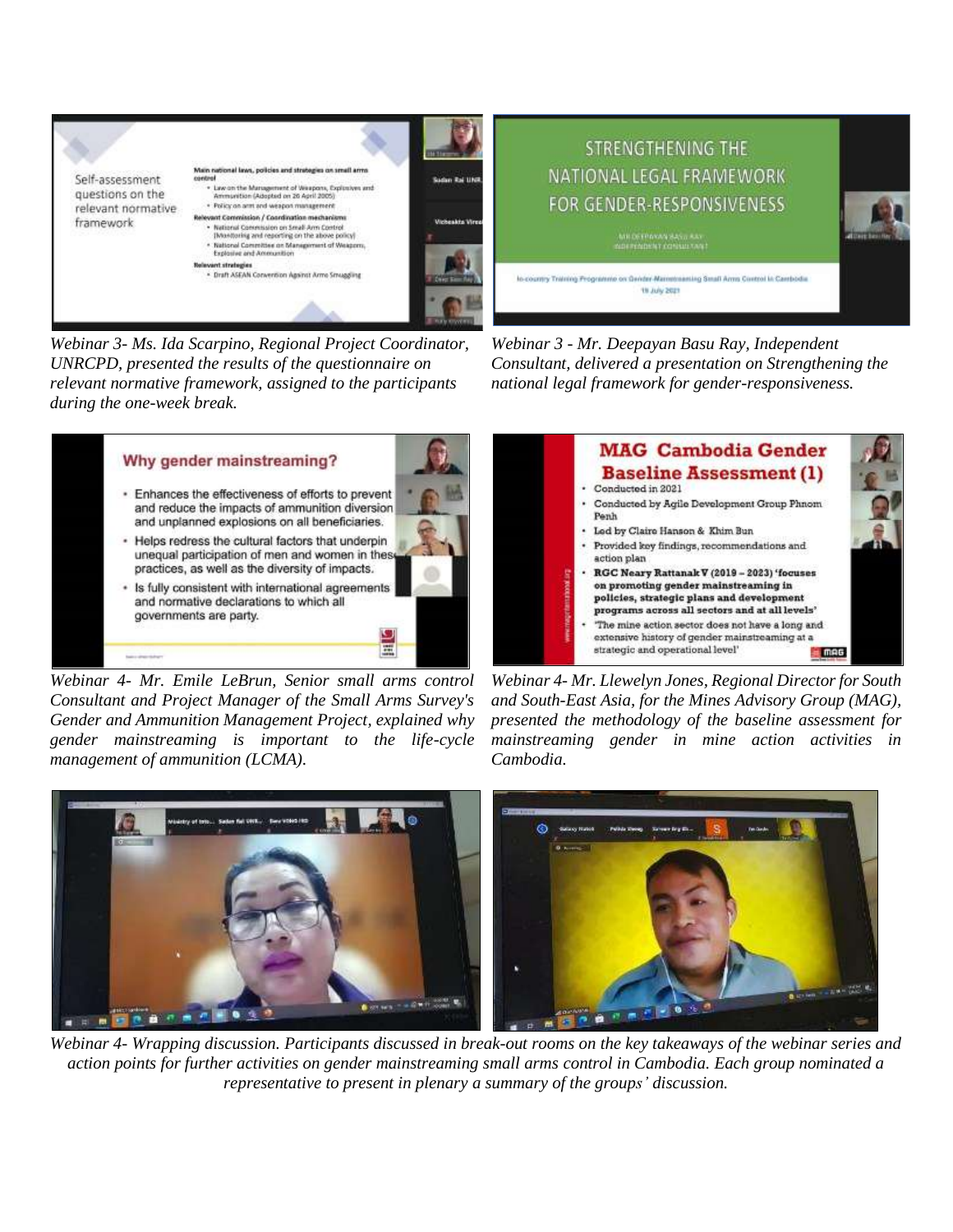

*Webinar 3- Ms. Ida Scarpino, Regional Project Coordinator, UNRCPD, presented the results of the questionnaire on relevant normative framework, assigned to the participants during the one-week break.* 



*Webinar 4- Mr. Emile LeBrun, Senior small arms control Consultant and Project Manager of the Small Arms Survey's Gender and Ammunition Management Project, explained why gender mainstreaming is important to the life-cycle management of ammunition (LCMA).* 



*Webinar 3 - Mr. Deepayan Basu Ray, Independent Consultant, delivered a presentation on Strengthening the national legal framework for gender-responsiveness.*



*Webinar 4- Mr. Llewelyn Jones, Regional Director for South and South-East Asia, for the Mines Advisory Group (MAG), presented the methodology of the baseline assessment for mainstreaming gender in mine action activities in Cambodia.* 



*Webinar 4- Wrapping discussion. Participants discussed in break-out rooms on the key takeaways of the webinar series and action points for further activities on gender mainstreaming small arms control in Cambodia. Each group nominated a representative to present in plenary a summary of the groups' discussion.*